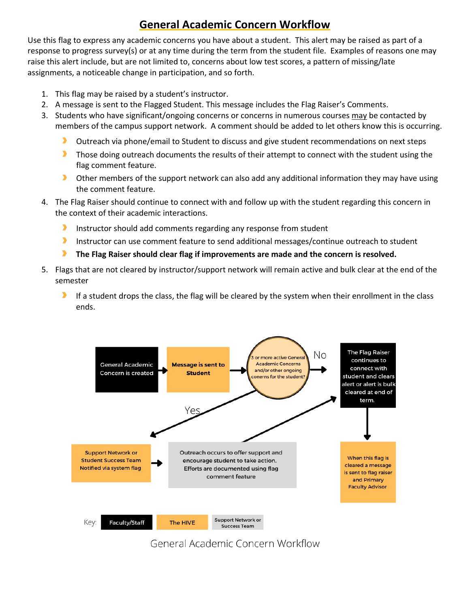# **General Academic Concern Workflow**

Use this flag to express any academic concerns you have about a student. This alert may be raised as part of a response to progress survey(s) or at any time during the term from the student file. Examples of reasons one may raise this alert include, but are not limited to, concerns about low test scores, a pattern of missing/late assignments, a noticeable change in participation, and so forth.

- 1. This flag may be raised by a student's instructor.
- 2. A message is sent to the Flagged Student. This message includes the Flag Raiser's Comments.
- 3. Students who have significant/ongoing concerns or concerns in numerous courses may be contacted by members of the campus support network. A comment should be added to let others know this is occurring.
	- D. Outreach via phone/email to Student to discuss and give student recommendations on next steps
	- $\blacktriangleright$ Those doing outreach documents the results of their attempt to connect with the student using the flag comment feature.
	- $\blacktriangleright$ Other members of the support network can also add any additional information they may have using the comment feature.
- 4. The Flag Raiser should continue to connect with and follow up with the student regarding this concern in the context of their academic interactions.
	- $\blacktriangleright$ Instructor should add comments regarding any response from student
	- $\blacktriangleright$ Instructor can use comment feature to send additional messages/continue outreach to student
	- $\blacktriangleright$ **The Flag Raiser should clear flag if improvements are made and the concern is resolved.**
- 5. Flags that are not cleared by instructor/support network will remain active and bulk clear at the end of the semester
	- If a student drops the class, the flag will be cleared by the system when their enrollment in the class ends.



General Academic Concern Workflow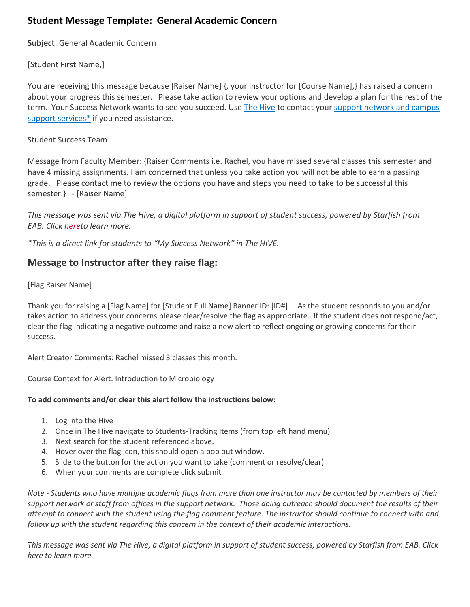### **Student Message Template: General Academic Concern**

**Subject**: General Academic Concern

[Student First Name,]

You are receiving this message because [Raiser Name] {, your instructor for [Course Name],} has raised a concern about your progress this semester. Please take action to review your options and develop a plan for the rest of the term. Your Success Network wants to see you succeed. Use The Hive to contact your support network and campus support services\* if you need assistance.

#### Student Success Team

Message from Faculty Member: {Raiser Comments i.e. Rachel, you have missed several classes this semester and have 4 missing assignments. I am concerned that unless you take action you will not be able to earn a passing grade. Please contact me to review the options you have and steps you need to take to be successful this semester.} - [Raiser Name]

*This message was sent via The Hive, a digital platform in support of student success, powered by Starfish from EAB. Click [heret](https://www.csbsju.edu/the-hive/about-the-hive)o learn more.*

*\*This is a direct link for students to "My Success Network" in The HIVE.* 

### **Message to Instructor after they raise flag:**

[Flag Raiser Name]

Thank you for raising a [Flag Name] for [Student Full Name] Banner ID: [ID#] . As the student responds to you and/or takes action to address your concerns please clear/resolve the flag as appropriate. If the student does not respond/act, clear the flag indicating a negative outcome and raise a new alert to reflect ongoing or growing concerns for their success.

Alert Creator Comments: Rachel missed 3 classes this month.

Course Context for Alert: Introduction to Microbiology

#### **To add comments and/or clear this alert follow the instructions below:**

- 1. Log into the Hive
- 2. Once in The Hive navigate to Students-Tracking Items (from top left hand menu).
- 3. Next search for the student referenced above.
- 4. Hover over the flag icon, this should open a pop out window.
- 5. Slide to the button for the action you want to take (comment or resolve/clear) .
- 6. When your comments are complete click submit*.*

*Note - Students who have multiple academic flags from more than one instructor may be contacted by members of their support network or staff from offices in the support network. Those doing outreach should document the results of their attempt to connect with the student using the flag comment feature. The instructor should continue to connect with and follow up with the student regarding this concern in the context of their academic interactions.*

*This message was sent via The Hive, a digital platform in support of student success, powered by Starfish from EAB. Click here to learn more.*